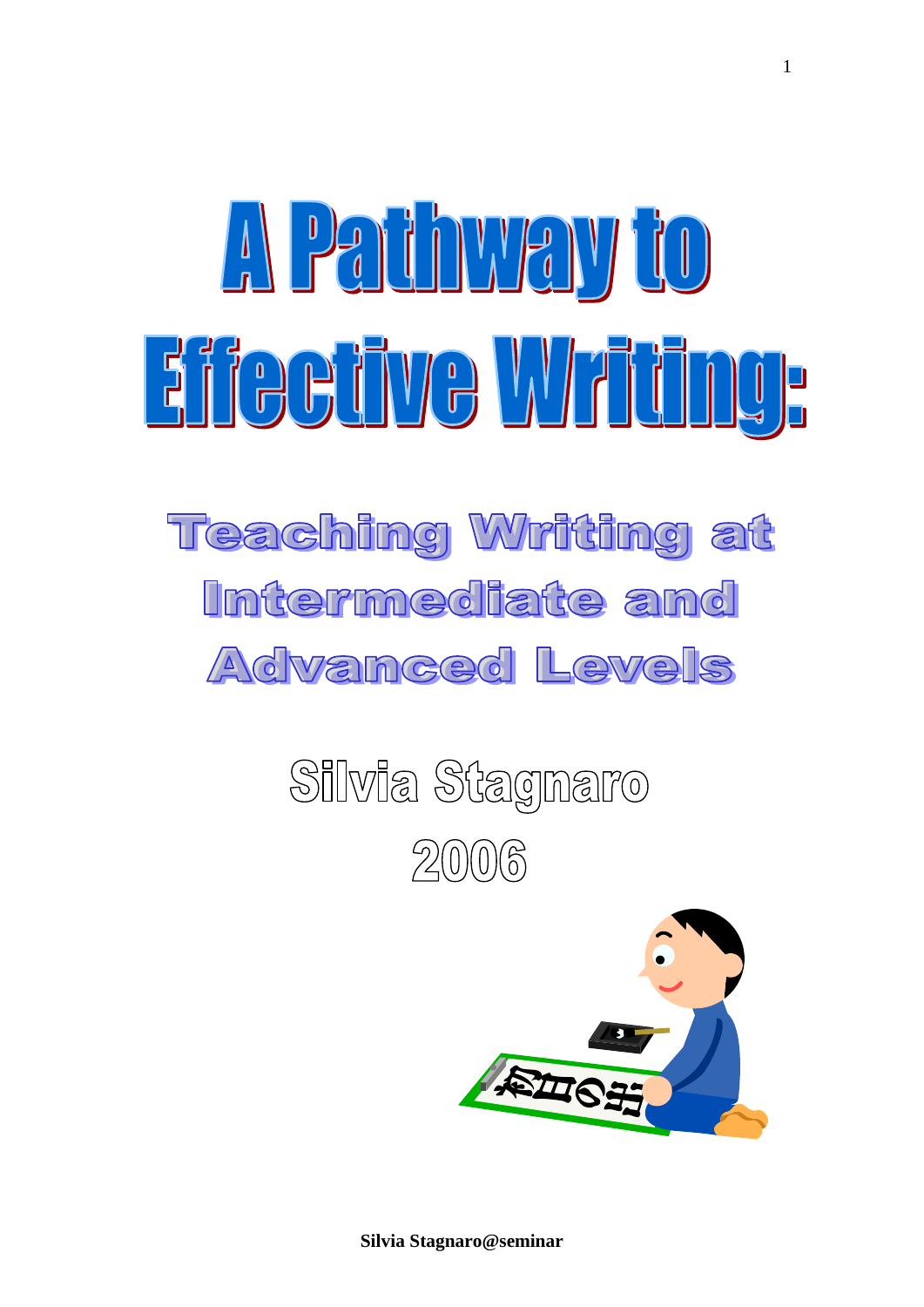# A Pathwayto Eifecüve Writing,

### **Teaching Writing at** Intermediate and Advanced Levels

## Silvia Stagnaro  $20006$

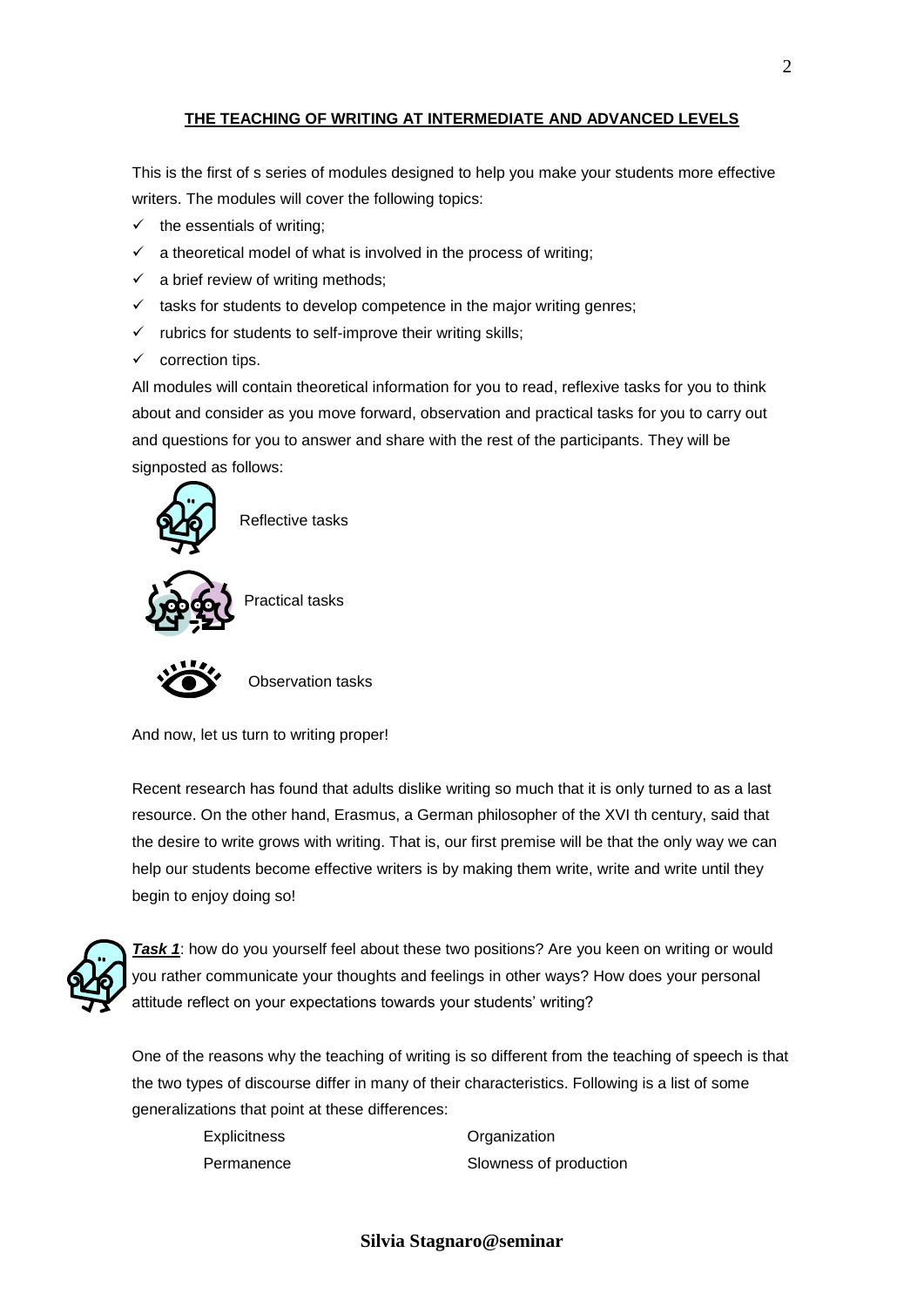#### **THE TEACHING OF WRITING AT INTERMEDIATE AND ADVANCED LEVELS**

This is the first of s series of modules designed to help you make your students more effective writers. The modules will cover the following topics:

- $\checkmark$  the essentials of writing;
- $\checkmark$  a theoretical model of what is involved in the process of writing;
- $\checkmark$  a brief review of writing methods;
- $\checkmark$  tasks for students to develop competence in the major writing genres;
- $\checkmark$  rubrics for students to self-improve their writing skills;
- $\checkmark$  correction tips.

All modules will contain theoretical information for you to read, reflexive tasks for you to think about and consider as you move forward, observation and practical tasks for you to carry out and questions for you to answer and share with the rest of the participants. They will be signposted as follows:





Observation tasks

And now, let us turn to writing proper!

Recent research has found that adults dislike writing so much that it is only turned to as a last resource. On the other hand, Erasmus, a German philosopher of the XVI th century, said that the desire to write grows with writing. That is, our first premise will be that the only way we can help our students become effective writers is by making them write, write and write until they begin to enjoy doing so!



**Task 1:** how do you yourself feel about these two positions? Are you keen on writing or would you rather communicate your thoughts and feelings in other ways? How does your personal attitude reflect on your expectations towards your students' writing?

One of the reasons why the teaching of writing is so different from the teaching of speech is that the two types of discourse differ in many of their characteristics. Following is a list of some generalizations that point at these differences:

Explicitness **Organization** 

Permanence Slowness of production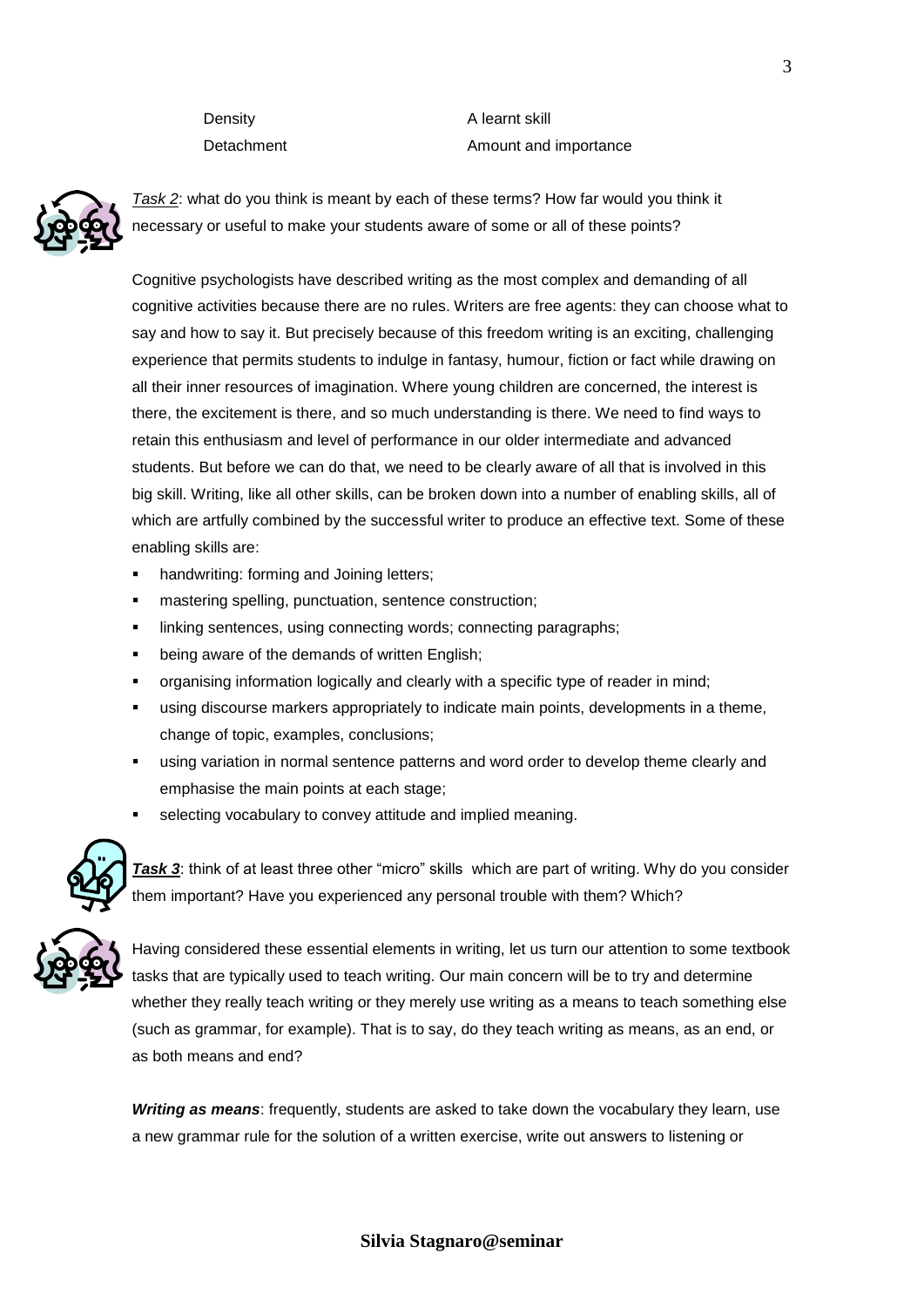Density **A** learnt skill Detachment **Amount** Amount and importance



*Task 2*: what do you think is meant by each of these terms? How far would you think it necessary or useful to make your students aware of some or all of these points?

Cognitive psychologists have described writing as the most complex and demanding of all cognitive activities because there are no rules. Writers are free agents: they can choose what to say and how to say it. But precisely because of this freedom writing is an exciting, challenging experience that permits students to indulge in fantasy, humour, fiction or fact while drawing on all their inner resources of imagination. Where young children are concerned, the interest is there, the excitement is there, and so much understanding is there. We need to find ways to retain this enthusiasm and level of performance in our older intermediate and advanced students. But before we can do that, we need to be clearly aware of all that is involved in this big skill. Writing, like all other skills, can be broken down into a number of enabling skills, all of which are artfully combined by the successful writer to produce an effective text. Some of these enabling skills are:

- handwriting: forming and Joining letters;
- mastering spelling, punctuation, sentence construction;
- linking sentences, using connecting words; connecting paragraphs;
- being aware of the demands of written English;
- organising information logically and clearly with a specific type of reader in mind;
- using discourse markers appropriately to indicate main points, developments in a theme, change of topic, examples, conclusions;
- using variation in normal sentence patterns and word order to develop theme clearly and emphasise the main points at each stage;
- selecting vocabulary to convey attitude and implied meaning.



**Task 3:** think of at least three other "micro" skills which are part of writing. Why do you consider them important? Have you experienced any personal trouble with them? Which?



Having considered these essential elements in writing, let us turn our attention to some textbook tasks that are typically used to teach writing. Our main concern will be to try and determine whether they really teach writing or they merely use writing as a means to teach something else (such as grammar, for example). That is to say, do they teach writing as means, as an end, or as both means and end?

*Writing as means*: frequently, students are asked to take down the vocabulary they learn, use a new grammar rule for the solution of a written exercise, write out answers to listening or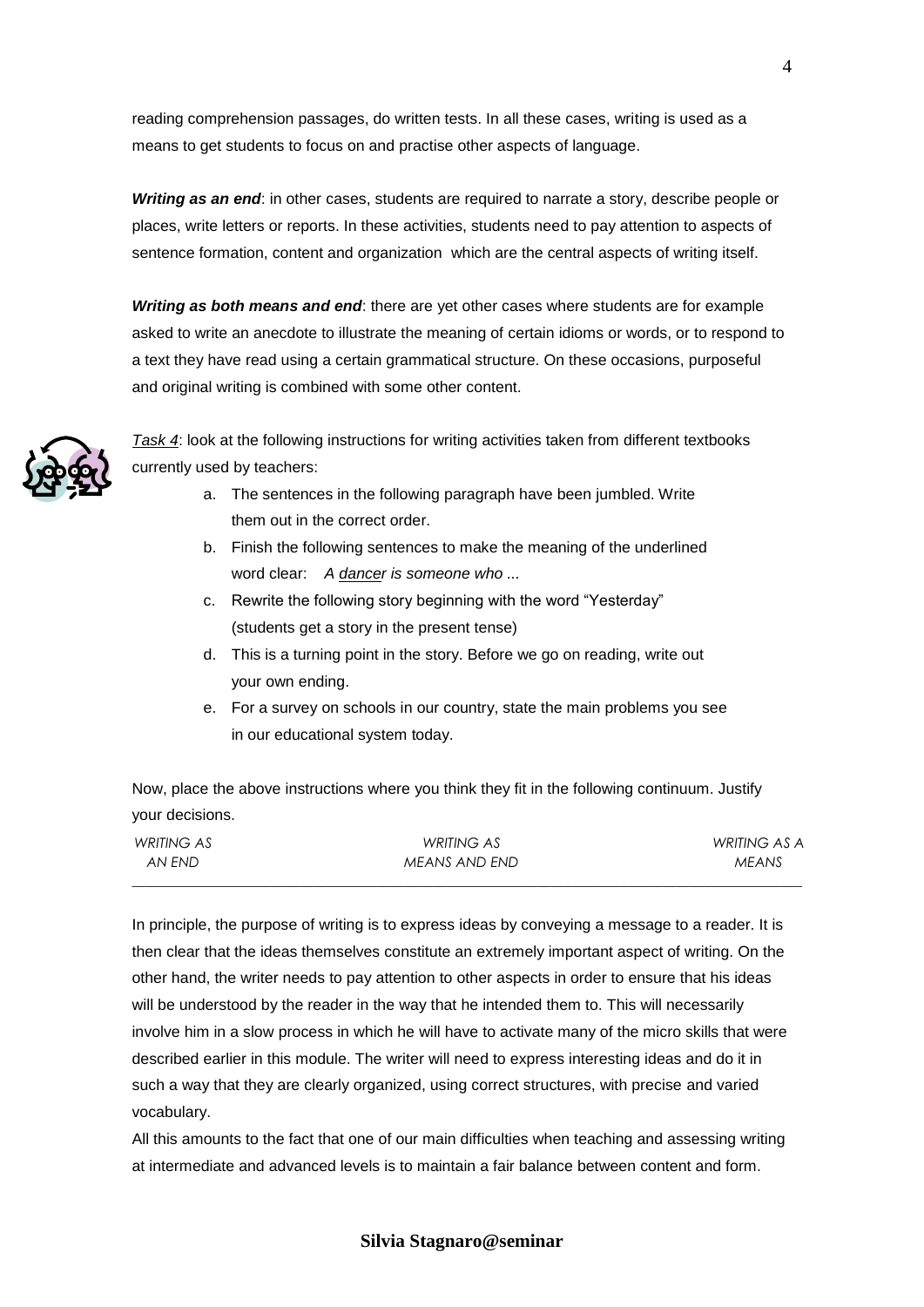reading comprehension passages, do written tests. In all these cases, writing is used as a means to get students to focus on and practise other aspects of language.

*Writing as an end*: in other cases, students are required to narrate a story, describe people or places, write letters or reports. In these activities, students need to pay attention to aspects of sentence formation, content and organization which are the central aspects of writing itself.

*Writing as both means and end*: there are yet other cases where students are for example asked to write an anecdote to illustrate the meaning of certain idioms or words, or to respond to a text they have read using a certain grammatical structure. On these occasions, purposeful and original writing is combined with some other content.



*Task 4*: look at the following instructions for writing activities taken from different textbooks currently used by teachers:

- a. The sentences in the following paragraph have been jumbled. Write them out in the correct order.
- b. Finish the following sentences to make the meaning of the underlined word clear: *A dancer is someone who ...*
- c. Rewrite the following story beginning with the word "Yesterday" (students get a story in the present tense)
- d. This is a turning point in the story. Before we go on reading, write out your own ending.
- e. For a survey on schools in our country, state the main problems you see in our educational system today.

Now, place the above instructions where you think they fit in the following continuum. Justify your decisions.

| WRITING AS | WRITING AS    | WRITING AS A |
|------------|---------------|--------------|
| AN END-    | MEANS AND END | <b>MEANS</b> |
|            |               |              |

In principle, the purpose of writing is to express ideas by conveying a message to a reader. It is then clear that the ideas themselves constitute an extremely important aspect of writing. On the other hand, the writer needs to pay attention to other aspects in order to ensure that his ideas will be understood by the reader in the way that he intended them to. This will necessarily involve him in a slow process in which he will have to activate many of the micro skills that were described earlier in this module. The writer will need to express interesting ideas and do it in such a way that they are clearly organized, using correct structures, with precise and varied vocabulary.

All this amounts to the fact that one of our main difficulties when teaching and assessing writing at intermediate and advanced levels is to maintain a fair balance between content and form.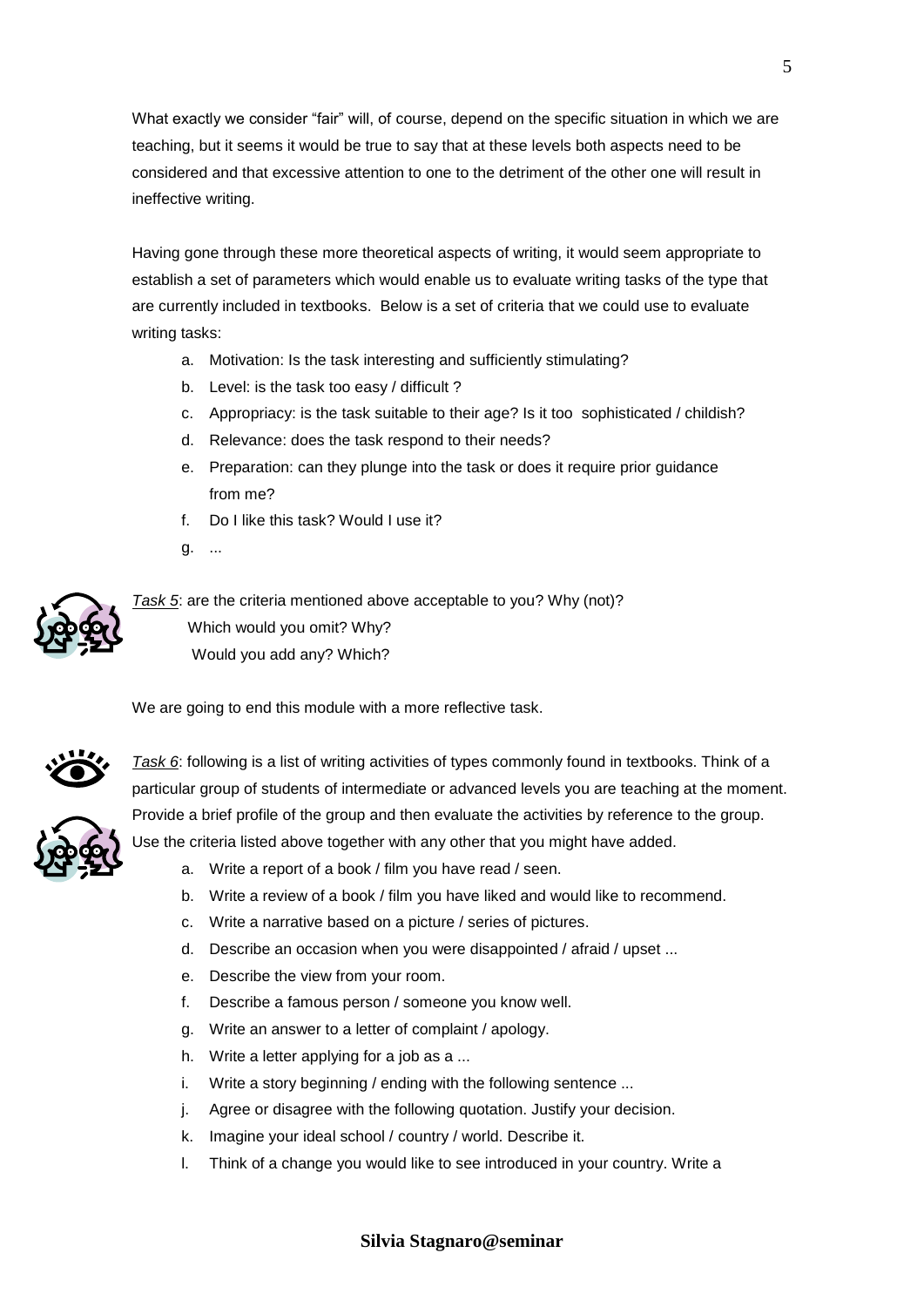What exactly we consider "fair" will, of course, depend on the specific situation in which we are teaching, but it seems it would be true to say that at these levels both aspects need to be considered and that excessive attention to one to the detriment of the other one will result in ineffective writing.

Having gone through these more theoretical aspects of writing, it would seem appropriate to establish a set of parameters which would enable us to evaluate writing tasks of the type that are currently included in textbooks. Below is a set of criteria that we could use to evaluate writing tasks:

- a. Motivation: Is the task interesting and sufficiently stimulating?
- b. Level: is the task too easy / difficult ?
- c. Appropriacy: is the task suitable to their age? Is it too sophisticated / childish?
- d. Relevance: does the task respond to their needs?
- e. Preparation: can they plunge into the task or does it require prior guidance from me?
- f. Do I like this task? Would I use it?
- g. ...



*Task 5*: are the criteria mentioned above acceptable to you? Why (not)? Which would you omit? Why? Would you add any? Which?

We are going to end this module with a more reflective task.



*Task 6*: following is a list of writing activities of types commonly found in textbooks. Think of a particular group of students of intermediate or advanced levels you are teaching at the moment. Provide a brief profile of the group and then evaluate the activities by reference to the group. Use the criteria listed above together with any other that you might have added.



- a. Write a report of a book / film you have read / seen.
	- b. Write a review of a book / film you have liked and would like to recommend.
	- c. Write a narrative based on a picture / series of pictures.
	- d. Describe an occasion when you were disappointed / afraid / upset ...
	- e. Describe the view from your room.
	- f. Describe a famous person / someone you know well.
	- g. Write an answer to a letter of complaint / apology.
	- h. Write a letter applying for a job as a ...
	- i. Write a story beginning / ending with the following sentence ...
	- j. Agree or disagree with the following quotation. Justify your decision.
	- k. Imagine your ideal school / country / world. Describe it.
	- l. Think of a change you would like to see introduced in your country. Write a